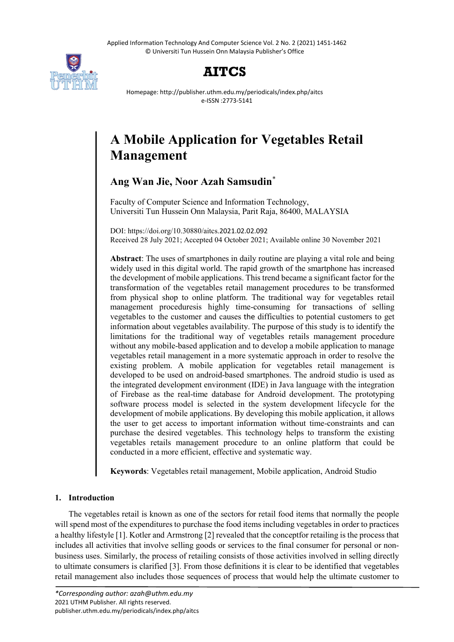Applied Information Technology And Computer Science Vol. 2 No. 2 (2021) 1451-1462 © Universiti Tun Hussein Onn Malaysia Publisher's Office



# **AITCS**

Homepage: http://publisher.uthm.edu.my/periodicals/index.php/aitcs e-ISSN :2773-5141

# **A Mobile Application for Vegetables Retail Management**

# **Ang Wan Jie, Noor Azah Samsudin**\*

Faculty of Computer Science and Information Technology, Universiti Tun Hussein Onn Malaysia, Parit Raja, 86400, MALAYSIA

DOI: https://doi.org/10.30880/aitcs.2021.02.02.092 Received 28 July 2021; Accepted 04 October 2021; Available online 30 November 2021

**Abstract**: The uses of smartphones in daily routine are playing a vital role and being widely used in this digital world. The rapid growth of the smartphone has increased the development of mobile applications. This trend became a significant factor for the transformation of the vegetables retail management procedures to be transformed from physical shop to online platform. The traditional way for vegetables retail management proceduresis highly time-consuming for transactions of selling vegetables to the customer and causes the difficulties to potential customers to get information about vegetables availability. The purpose of this study is to identify the limitations for the traditional way of vegetables retails management procedure without any mobile-based application and to develop a mobile application to manage vegetables retail management in a more systematic approach in order to resolve the existing problem. A mobile application for vegetables retail management is developed to be used on android-based smartphones. The android studio is used as the integrated development environment (IDE) in Java language with the integration of Firebase as the real-time database for Android development. The prototyping software process model is selected in the system development lifecycle for the development of mobile applications. By developing this mobile application, it allows the user to get access to important information without time-constraints and can purchase the desired vegetables. This technology helps to transform the existing vegetables retails management procedure to an online platform that could be conducted in a more efficient, effective and systematic way.

**Keywords**: Vegetables retail management, Mobile application, Android Studio

## **1. Introduction**

The vegetables retail is known as one of the sectors for retail food items that normally the people will spend most of the expenditures to purchase the food items including vegetables in order to practices a healthy lifestyle [1]. Kotler and Armstrong [2] revealed that the conceptfor retailing is the process that includes all activities that involve selling goods or services to the final consumer for personal or nonbusiness uses. Similarly, the process of retailing consists of those activities involved in selling directly to ultimate consumers is clarified [3]. From those definitions it is clear to be identified that vegetables retail management also includes those sequences of process that would help the ultimate customer to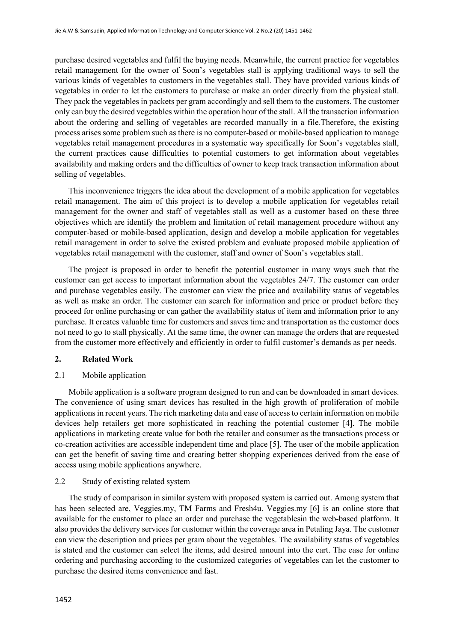purchase desired vegetables and fulfil the buying needs. Meanwhile, the current practice for vegetables retail management for the owner of Soon's vegetables stall is applying traditional ways to sell the various kinds of vegetables to customers in the vegetables stall. They have provided various kinds of vegetables in order to let the customers to purchase or make an order directly from the physical stall. They pack the vegetables in packets per gram accordingly and sell them to the customers. The customer only can buy the desired vegetables within the operation hour of the stall. All the transaction information about the ordering and selling of vegetables are recorded manually in a file.Therefore, the existing process arises some problem such as there is no computer-based or mobile-based application to manage vegetables retail management procedures in a systematic way specifically for Soon's vegetables stall, the current practices cause difficulties to potential customers to get information about vegetables availability and making orders and the difficulties of owner to keep track transaction information about selling of vegetables.

This inconvenience triggers the idea about the development of a mobile application for vegetables retail management. The aim of this project is to develop a mobile application for vegetables retail management for the owner and staff of vegetables stall as well as a customer based on these three objectives which are identify the problem and limitation of retail management procedure without any computer-based or mobile-based application, design and develop a mobile application for vegetables retail management in order to solve the existed problem and evaluate proposed mobile application of vegetables retail management with the customer, staff and owner of Soon's vegetables stall.

The project is proposed in order to benefit the potential customer in many ways such that the customer can get access to important information about the vegetables 24/7. The customer can order and purchase vegetables easily. The customer can view the price and availability status of vegetables as well as make an order. The customer can search for information and price or product before they proceed for online purchasing or can gather the availability status of item and information prior to any purchase. It creates valuable time for customers and saves time and transportation as the customer does not need to go to stall physically. At the same time, the owner can manage the orders that are requested from the customer more effectively and efficiently in order to fulfil customer's demands as per needs.

#### **2. Related Work**

#### 2.1 Mobile application

Mobile application is a software program designed to run and can be downloaded in smart devices. The convenience of using smart devices has resulted in the high growth of proliferation of mobile applications in recent years. The rich marketing data and ease of access to certain information on mobile devices help retailers get more sophisticated in reaching the potential customer [4]. The mobile applications in marketing create value for both the retailer and consumer as the transactions process or co-creation activities are accessible independent time and place [5]. The user of the mobile application can get the benefit of saving time and creating better shopping experiences derived from the ease of access using mobile applications anywhere.

#### 2.2 Study of existing related system

The study of comparison in similar system with proposed system is carried out. Among system that has been selected are, Veggies.my, TM Farms and Fresh4u. Veggies.my [6] is an online store that available for the customer to place an order and purchase the vegetablesin the web-based platform. It also provides the delivery services for customer within the coverage area in Petaling Jaya. The customer can view the description and prices per gram about the vegetables. The availability status of vegetables is stated and the customer can select the items, add desired amount into the cart. The ease for online ordering and purchasing according to the customized categories of vegetables can let the customer to purchase the desired items convenience and fast.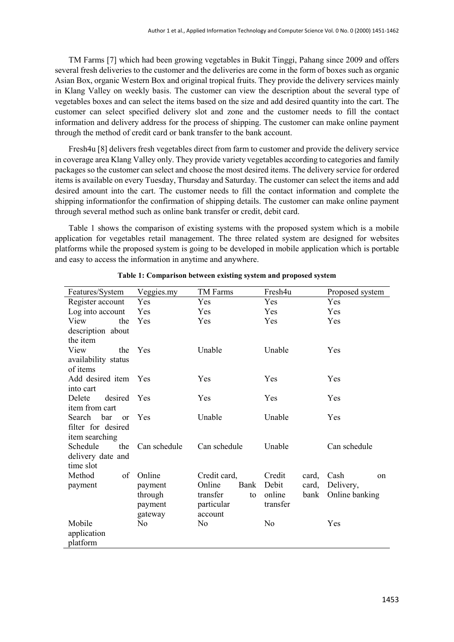TM Farms [7] which had been growing vegetables in Bukit Tinggi, Pahang since 2009 and offers several fresh deliveries to the customer and the deliveries are come in the form of boxes such as organic Asian Box, organic Western Box and original tropical fruits. They provide the delivery services mainly in Klang Valley on weekly basis. The customer can view the description about the several type of vegetables boxes and can select the items based on the size and add desired quantity into the cart. The customer can select specified delivery slot and zone and the customer needs to fill the contact information and delivery address for the process of shipping. The customer can make online payment through the method of credit card or bank transfer to the bank account.

Fresh4u [8] delivers fresh vegetables direct from farm to customer and provide the delivery service in coverage area Klang Valley only. They provide variety vegetables according to categories and family packages so the customer can select and choose the most desired items. The delivery service for ordered items is available on every Tuesday, Thursday and Saturday. The customer can select the items and add desired amount into the cart. The customer needs to fill the contact information and complete the shipping informationfor the confirmation of shipping details. The customer can make online payment through several method such as online bank transfer or credit, debit card.

Table 1 shows the comparison of existing systems with the proposed system which is a mobile application for vegetables retail management. The three related system are designed for websites platforms while the proposed system is going to be developed in mobile application which is portable and easy to access the information in anytime and anywhere.

| Features/System        | Veggies.my     | TM Farms       | Fresh4u         | Proposed system       |
|------------------------|----------------|----------------|-----------------|-----------------------|
| Register account       | Yes            | Yes            | Yes             | <b>Yes</b>            |
| Log into account       | Yes            | Yes            | Yes             | Yes                   |
| View<br>the            | Yes            | <b>Yes</b>     | Yes             | Yes                   |
| description about      |                |                |                 |                       |
| the <i>item</i>        |                |                |                 |                       |
| View<br>the            | Yes            | Unable         | Unable          | Yes                   |
| availability status    |                |                |                 |                       |
| of items               |                |                |                 |                       |
| Add desired item Yes   |                | Yes            | Yes             | <b>Yes</b>            |
| into cart              |                |                |                 |                       |
| Delete<br>desired      | Yes            | <b>Yes</b>     | Yes             | <b>Yes</b>            |
| item from cart         |                |                |                 |                       |
| Search bar<br>$\alpha$ | <b>Yes</b>     | Unable         | Unable          | Yes                   |
| filter for desired     |                |                |                 |                       |
| item searching         |                |                |                 |                       |
| Schedule<br>the        | Can schedule   | Can schedule   | Unable          | Can schedule          |
| delivery date and      |                |                |                 |                       |
| time slot              |                |                |                 |                       |
| Method<br>of           | Online         | Credit card,   | Credit<br>card, | Cash<br><sub>on</sub> |
| payment                | payment        | Online<br>Bank | Debit<br>card,  | Delivery,             |
|                        | through        | transfer<br>to | online<br>bank  | Online banking        |
|                        | payment        | particular     | transfer        |                       |
|                        | gateway        | account        |                 |                       |
| Mobile                 | N <sub>0</sub> | N <sub>0</sub> | N <sub>0</sub>  | Yes                   |
| application            |                |                |                 |                       |
| platform               |                |                |                 |                       |

**Table 1: Comparison between existing system and proposed system**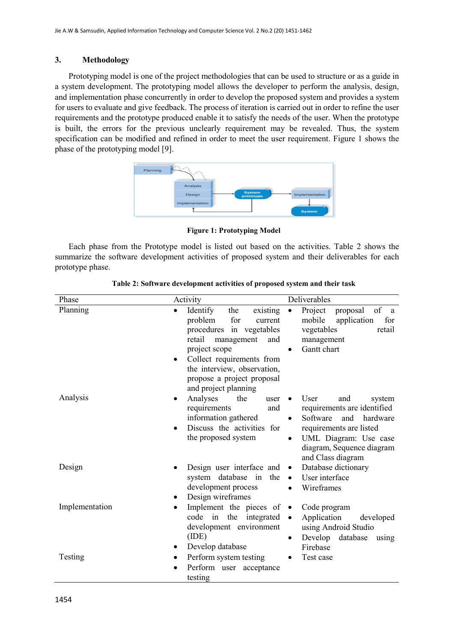#### **3. Methodology**

Prototyping model is one of the project methodologies that can be used to structure or as a guide in a system development. The prototyping model allows the developer to perform the analysis, design, and implementation phase concurrently in order to develop the proposed system and provides a system for users to evaluate and give feedback. The process of iteration is carried out in order to refine the user requirements and the prototype produced enable it to satisfy the needs of the user. When the prototype is built, the errors for the previous unclearly requirement may be revealed. Thus, the system specification can be modified and refined in order to meet the user requirement. Figure 1 shows the phase of the prototyping model [9].



**Figure 1: Prototyping Model**

Each phase from the Prototype model is listed out based on the activities. Table 2 shows the summarize the software development activities of proposed system and their deliverables for each prototype phase.

| Phase          | Activity                                                                                                                                     | Deliverables                                                                                                                                                                              |
|----------------|----------------------------------------------------------------------------------------------------------------------------------------------|-------------------------------------------------------------------------------------------------------------------------------------------------------------------------------------------|
| Planning       | Identify<br>existing<br>the<br>$\bullet$<br>for<br>problem<br>current<br>procedures in vegetables<br>retail<br>management<br>and             | Project<br>of<br>proposal<br>$\bullet$<br><sub>a</sub><br>mobile<br>application<br>for<br>vegetables<br>retail<br>management                                                              |
|                | project scope<br>Collect requirements from<br>$\bullet$<br>the interview, observation,<br>propose a project proposal<br>and project planning | Gantt chart                                                                                                                                                                               |
| Analysis       | Analyses<br>the<br>user<br>requirements<br>and<br>information gathered<br>Discuss the activities for<br>$\bullet$<br>the proposed system     | User<br>and<br>system<br>requirements are identified<br>Software<br>and<br>hardware<br>requirements are listed<br>UML Diagram: Use case<br>diagram, Sequence diagram<br>and Class diagram |
| Design         | Design user interface and<br>system database in<br>the<br>development process<br>Design wireframes<br>٠                                      | Database dictionary<br>$\bullet$<br>User interface<br>$\bullet$<br>Wireframes                                                                                                             |
| Implementation | Implement the pieces of<br>$\bullet$<br>code in the integrated<br>development environment<br>(IDE)<br>Develop database<br>٠                  | Code program<br>$\bullet$<br>Application<br>developed<br>using Android Studio<br>Develop database<br>using<br>Firebase                                                                    |
| Testing        | Perform system testing<br>Perform user acceptance<br>testing                                                                                 | Test case                                                                                                                                                                                 |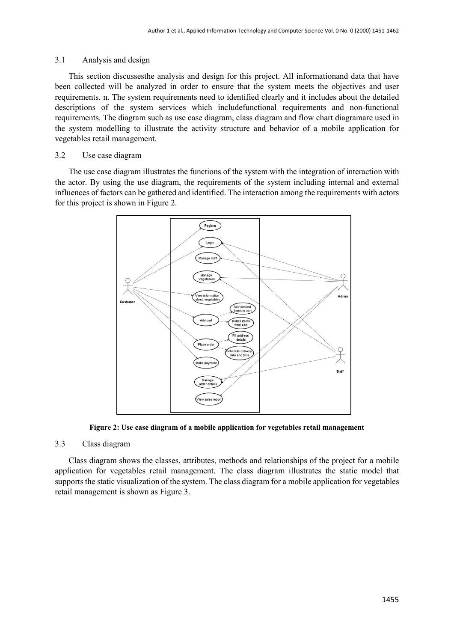#### 3.1 Analysis and design

This section discussesthe analysis and design for this project. All informationand data that have been collected will be analyzed in order to ensure that the system meets the objectives and user requirements. n. The system requirements need to identified clearly and it includes about the detailed descriptions of the system services which includefunctional requirements and non-functional requirements. The diagram such as use case diagram, class diagram and flow chart diagramare used in the system modelling to illustrate the activity structure and behavior of a mobile application for vegetables retail management.

# 3.2 Use case diagram

The use case diagram illustrates the functions of the system with the integration of interaction with the actor. By using the use diagram, the requirements of the system including internal and external influences of factors can be gathered and identified. The interaction among the requirements with actors for this project is shown in Figure 2.



**Figure 2: Use case diagram of a mobile application for vegetables retail management**

#### 3.3 Class diagram

Class diagram shows the classes, attributes, methods and relationships of the project for a mobile application for vegetables retail management. The class diagram illustrates the static model that supports the static visualization of the system. The class diagram for a mobile application for vegetables retail management is shown as Figure 3.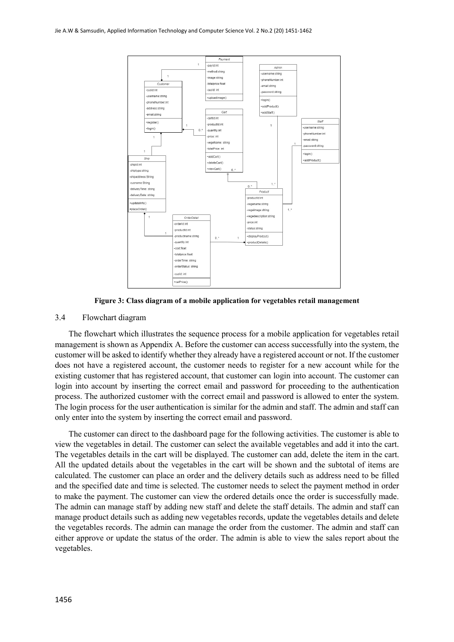

**Figure 3: Class diagram of a mobile application for vegetables retail management**

#### 3.4 Flowchart diagram

The flowchart which illustrates the sequence process for a mobile application for vegetables retail management is shown as Appendix A. Before the customer can access successfully into the system, the customer will be asked to identify whether they already have a registered account or not. If the customer does not have a registered account, the customer needs to register for a new account while for the existing customer that has registered account, that customer can login into account. The customer can login into account by inserting the correct email and password for proceeding to the authentication process. The authorized customer with the correct email and password is allowed to enter the system. The login process for the user authentication is similar for the admin and staff. The admin and staff can only enter into the system by inserting the correct email and password.

The customer can direct to the dashboard page for the following activities. The customer is able to view the vegetables in detail. The customer can select the available vegetables and add it into the cart. The vegetables details in the cart will be displayed. The customer can add, delete the item in the cart. All the updated details about the vegetables in the cart will be shown and the subtotal of items are calculated. The customer can place an order and the delivery details such as address need to be filled and the specified date and time is selected. The customer needs to select the payment method in order to make the payment. The customer can view the ordered details once the order is successfully made. The admin can manage staff by adding new staff and delete the staff details. The admin and staff can manage product details such as adding new vegetables records, update the vegetables details and delete the vegetables records. The admin can manage the order from the customer. The admin and staff can either approve or update the status of the order. The admin is able to view the sales report about the vegetables.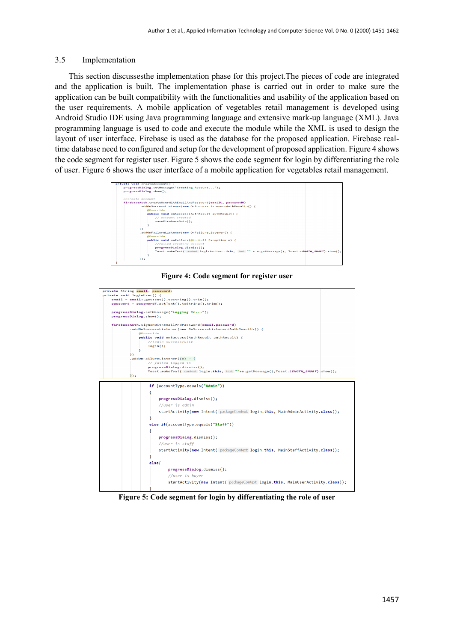#### 3.5 Implementation

This section discussesthe implementation phase for this project.The pieces of code are integrated and the application is built. The implementation phase is carried out in order to make sure the application can be built compatibility with the functionalities and usability of the application based on the user requirements. A mobile application of vegetables retail management is developed using Android Studio IDE using Java programming language and extensive mark-up language (XML). Java programming language is used to code and execute the module while the XML is used to design the layout of user interface. Firebase is used as the database for the proposed application. Firebase realtime database need to configured and setup for the development of proposed application. Figure 4 shows the code segment for register user. Figure 5 shows the code segment for login by differentiating the role of user. Figure 6 shows the user interface of a mobile application for vegetables retail management.



#### **Figure 4: Code segment for register user**



**Figure 5: Code segment for login by differentiating the role of user**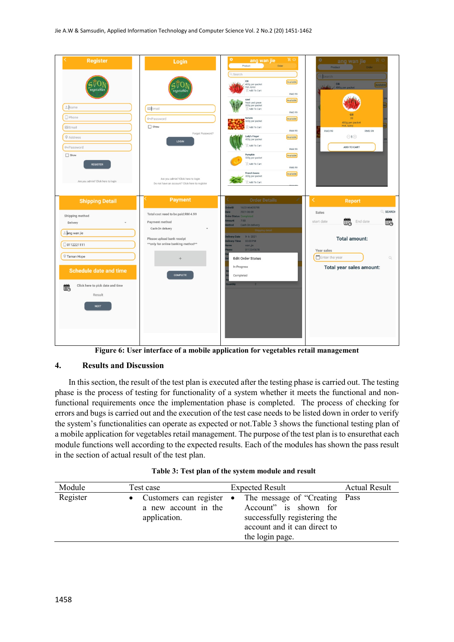| <b>Register</b>                                                                                                                                                                                          | Login                                                                                                                                                                                              | ۰<br>岸 の<br>ang wan jie<br>Order<br>Product                                                                                                                                                                                                                                                                                                                                                                                                                                  | ¢<br>肖の<br>ang wan jie<br>Product<br>Order                                                                                                                 |
|----------------------------------------------------------------------------------------------------------------------------------------------------------------------------------------------------------|----------------------------------------------------------------------------------------------------------------------------------------------------------------------------------------------------|------------------------------------------------------------------------------------------------------------------------------------------------------------------------------------------------------------------------------------------------------------------------------------------------------------------------------------------------------------------------------------------------------------------------------------------------------------------------------|------------------------------------------------------------------------------------------------------------------------------------------------------------|
| vegetable:<br>Name<br>$D$ Phone<br>Email<br>$Q$ Address<br>O-Password<br>$\Box$ Show<br><b>REGISTER</b><br>Are you admin? Click here to login                                                            | vegetable<br>$E$ <sub>Email</sub><br><b>O</b> -Password<br>$\Box$ Show<br>Forget Password?<br><b>LOGIN</b><br>Are you admin? Click here to login<br>Do not have an account? Click here to register | Q Search<br>Cili<br>Available<br>400g per packet<br>Hot, spicy<br>Add To Cart<br>RM3.99<br>sawi<br>Available<br>fresh and green<br>500g per packet<br>Add To Cart<br>RM3.99<br>tomato<br>Available<br>500g per packet<br>Add To Cart<br>RM4.99<br>Lady's Finger<br>Available<br>400g per packet<br>Add To Cart<br>RM4.99<br>Pumpkin<br>Available<br>500g per packet<br>Add To Cart<br>RM6.99<br><b>French beans</b><br>Available<br>300g per packet<br>Add To Cart<br>011100 | <b>Search</b><br>Cili<br>Availab<br>400g per packet<br>20<br>400g per packet<br>Hot, spicy<br>RM3.99<br>RM3.99<br>$\odot$ 1 $\oplus$<br>ADD TO CART        |
| <b>Shipping Detail</b>                                                                                                                                                                                   | <b>Payment</b>                                                                                                                                                                                     | <b>Order Details</b>                                                                                                                                                                                                                                                                                                                                                                                                                                                         | <b>Report</b>                                                                                                                                              |
| Shipping method<br>Delivery<br>$\overline{\phantom{a}}$<br>hng wan jie<br>□ 0112221111<br>Taman Hope<br><b>Schedule date and time</b><br>Click here to pick date and time<br>Ë.<br>Result<br><b>NEXT</b> | Total cost need to be paid:RM 4.99<br>Payment method<br>Cash-On delivery<br>Please upload bank receipt<br>** only for online banking method**<br><b>COMPLETE</b>                                   | 1623146435798<br>derlD<br>2021-06-08<br>ate<br><b>Irder Status Completed</b><br>7.98<br>nount<br>ethod<br>Cash On delivery<br>ping deta<br>$9.6 - 2021$<br><b>Hivery Date</b><br>03:00 PM<br>elivery Time<br>wan jie<br>0112345678<br>lone<br><b>Edit Order Status</b><br>In Progress<br>Completed<br>Juantity                                                                                                                                                               | Q SEARCH<br>Sales<br>Ëò<br>巤<br>End date<br>start date<br><b>Total amount:</b><br>Year sales<br>Enter the year<br>$\mathbb{Q}$<br>Total year sales amount: |

**Figure 6: User interface of a mobile application for vegetables retail management**

## **4. Results and Discussion**

In this section, the result of the test plan is executed after the testing phase is carried out. The testing phase is the process of testing for functionality of a system whether it meets the functional and nonfunctional requirements once the implementation phase is completed. The process of checking for errors and bugs is carried out and the execution of the test case needs to be listed down in order to verify the system's functionalities can operate as expected or not.Table 3 shows the functional testing plan of a mobile application for vegetables retail management. The purpose of the test plan is to ensurethat each module functions well according to the expected results. Each of the modules has shown the pass result in the section of actual result of the test plan.

|  |  |  |  |  |  | Table 3: Test plan of the system module and result |  |  |
|--|--|--|--|--|--|----------------------------------------------------|--|--|
|--|--|--|--|--|--|----------------------------------------------------|--|--|

| Module   | Test case                            | <b>Expected Result</b>                                                                                                                                                | <b>Actual Result</b> |
|----------|--------------------------------------|-----------------------------------------------------------------------------------------------------------------------------------------------------------------------|----------------------|
| Register | a new account in the<br>application. | • Customers can register • The message of "Creating Pass"<br>Account" is shown for<br>successfully registering the<br>account and it can direct to<br>the login page. |                      |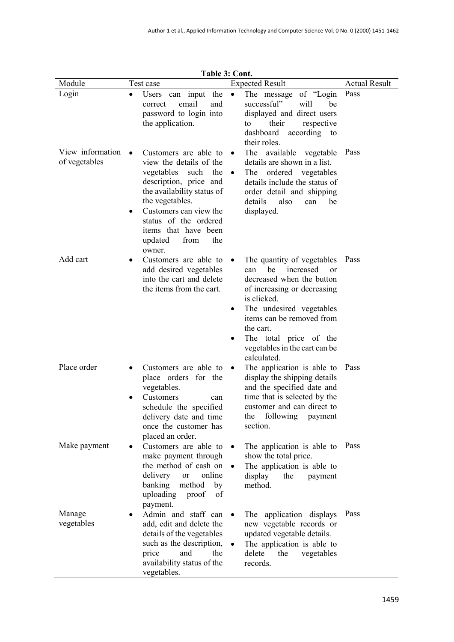| Module                            | Test case                                                                                                                                                                                                                                                               | 1 avit J. Culli.<br><b>Expected Result</b>                                                                                                                                                                                                                                                                   | <b>Actual Result</b> |
|-----------------------------------|-------------------------------------------------------------------------------------------------------------------------------------------------------------------------------------------------------------------------------------------------------------------------|--------------------------------------------------------------------------------------------------------------------------------------------------------------------------------------------------------------------------------------------------------------------------------------------------------------|----------------------|
| Login                             | Users can input the<br>$\bullet$                                                                                                                                                                                                                                        | The message of "Login"<br>$\bullet$                                                                                                                                                                                                                                                                          | Pass                 |
|                                   | email<br>and<br>correct<br>password to login into<br>the application.                                                                                                                                                                                                   | successful"<br>will<br>be<br>displayed and direct users<br>their<br>respective<br>to<br>dashboard<br>according to<br>their roles.                                                                                                                                                                            |                      |
| View information<br>of vegetables | Customers are able to<br>view the details of the<br>vegetables<br>such<br>the<br>description, price and<br>the availability status of<br>the vegetables.<br>Customers can view the<br>status of the ordered<br>items that have been<br>from<br>updated<br>the<br>owner. | The available vegetable<br>details are shown in a list.<br>ordered vegetables<br>The<br>$\bullet$<br>details include the status of<br>order detail and shipping<br>also<br>details<br>be<br>can<br>displayed.                                                                                                | Pass                 |
| Add cart                          | Customers are able to<br>add desired vegetables<br>into the cart and delete<br>the items from the cart.                                                                                                                                                                 | The quantity of vegetables<br>$\bullet$<br>increased<br>be<br>can<br>or<br>decreased when the button<br>of increasing or decreasing<br>is clicked.<br>The undesired vegetables<br>٠<br>items can be removed from<br>the cart.<br>The total price of the<br>٠<br>vegetables in the cart can be<br>calculated. | Pass                 |
| Place order                       | Customers are able to<br>place orders for the<br>vegetables.<br>Customers<br>can<br>schedule the specified<br>delivery date and time<br>once the customer has<br>placed an order.                                                                                       | The application is able to<br>display the shipping details<br>and the specified date and<br>time that is selected by the<br>customer and can direct to<br>the following payment<br>section.                                                                                                                  | Pass                 |
| Make payment                      | Customers are able to<br>make payment through<br>the method of cash on<br>delivery<br>online<br><b>or</b><br>banking<br>method<br>by<br>uploading<br>of<br>proof<br>payment.                                                                                            | The application is able to<br>$\bullet$<br>show the total price.<br>The application is able to<br>$\bullet$<br>display<br>the<br>payment<br>method.                                                                                                                                                          | Pass                 |
| Manage<br>vegetables              | Admin and staff can<br>add, edit and delete the<br>details of the vegetables<br>such as the description,<br>and<br>price<br>the<br>availability status of the<br>vegetables.                                                                                            | application displays<br>The<br>new vegetable records or<br>updated vegetable details.<br>The application is able to<br>delete<br>the<br>vegetables<br>records.                                                                                                                                               | Pass                 |

**Table 3: Cont.**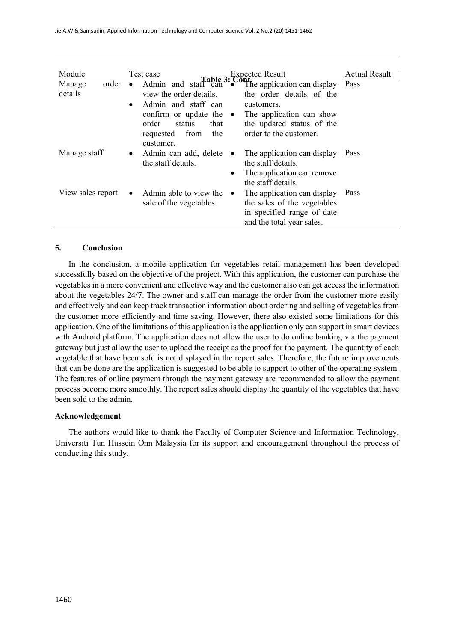| Module                     | Test case                                                                                                                                                                                           | <b>Expected Result</b>                                                                                                                                            | <b>Actual Result</b> |
|----------------------------|-----------------------------------------------------------------------------------------------------------------------------------------------------------------------------------------------------|-------------------------------------------------------------------------------------------------------------------------------------------------------------------|----------------------|
| order<br>Manage<br>details | Admin and staff can<br>$\bullet$<br>view the order details.<br>Admin and staff can<br>$\bullet$<br>confirm or update the $\bullet$<br>order<br>that<br>status<br>requested from<br>the<br>customer. | Cout.<br>The application can display<br>the order details of the<br>customers.<br>The application can show<br>the updated status of the<br>order to the customer. | Pass                 |
| Manage staff               | Admin can add, delete<br>$\bullet$<br>the staff details.                                                                                                                                            | The application can display<br>$\bullet$<br>the staff details.<br>The application can remove<br>٠<br>the staff details.                                           | Pass                 |
| View sales report          | Admin able to view the<br>$\bullet$<br>sale of the vegetables.                                                                                                                                      | The application can display<br>$\bullet$<br>the sales of the vegetables<br>in specified range of date<br>and the total year sales.                                | Pass                 |

### **5. Conclusion**

In the conclusion, a mobile application for vegetables retail management has been developed successfully based on the objective of the project. With this application, the customer can purchase the vegetables in a more convenient and effective way and the customer also can get access the information about the vegetables 24/7. The owner and staff can manage the order from the customer more easily and effectively and can keep track transaction information about ordering and selling of vegetablesfrom the customer more efficiently and time saving. However, there also existed some limitations for this application. One of the limitations of this application is the application only can support in smart devices with Android platform. The application does not allow the user to do online banking via the payment gateway but just allow the user to upload the receipt as the proof for the payment. The quantity of each vegetable that have been sold is not displayed in the report sales. Therefore, the future improvements that can be done are the application is suggested to be able to support to other of the operating system. The features of online payment through the payment gateway are recommended to allow the payment process become more smoothly. The report sales should display the quantity of the vegetables that have been sold to the admin.

#### **Acknowledgement**

The authors would like to thank the Faculty of Computer Science and Information Technology, Universiti Tun Hussein Onn Malaysia for its support and encouragement throughout the process of conducting this study.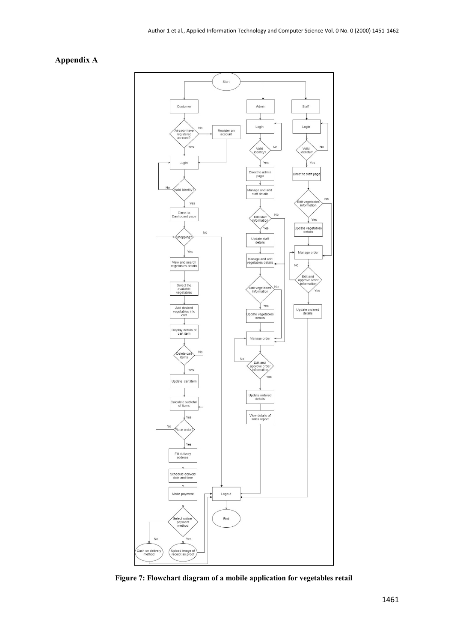### **Appendix A**



**Figure 7: Flowchart diagram of a mobile application for vegetables retail**